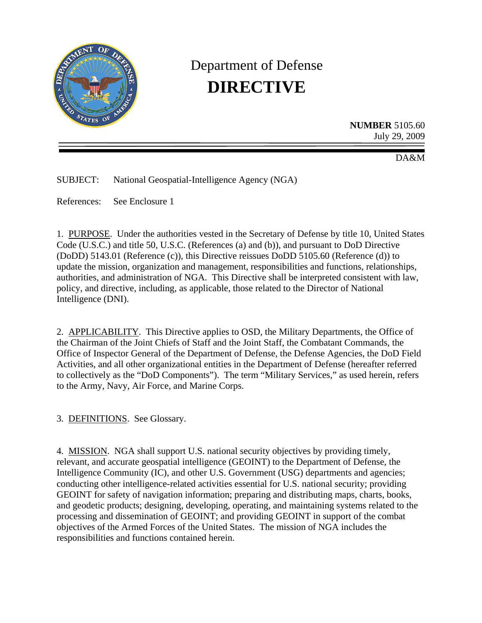

# Department of Defense **DIRECTIVE**

**NUMBER** 5105.60 July 29, 2009

DA&M

SUBJECT: National Geospatial-Intelligence Agency (NGA)

References: See Enclosure 1

1. PURPOSE. Under the authorities vested in the Secretary of Defense by title 10, United States Code (U.S.C.) and title 50, U.S.C. (References (a) and (b)), and pursuant to DoD Directive (DoDD) 5143.01 (Reference (c)), this Directive reissues DoDD 5105.60 (Reference (d)) to update the mission, organization and management, responsibilities and functions, relationships, authorities, and administration of NGA. This Directive shall be interpreted consistent with law, policy, and directive, including, as applicable, those related to the Director of National Intelligence (DNI).

2. APPLICABILITY. This Directive applies to OSD, the Military Departments, the Office of the Chairman of the Joint Chiefs of Staff and the Joint Staff, the Combatant Commands, the Office of Inspector General of the Department of Defense, the Defense Agencies, the DoD Field Activities, and all other organizational entities in the Department of Defense (hereafter referred to collectively as the "DoD Components"). The term "Military Services," as used herein, refers to the Army, Navy, Air Force, and Marine Corps.

3. DEFINITIONS. See Glossary.

4. MISSION. NGA shall support U.S. national security objectives by providing timely, relevant, and accurate geospatial intelligence (GEOINT) to the Department of Defense, the Intelligence Community (IC), and other U.S. Government (USG) departments and agencies; conducting other intelligence-related activities essential for U.S. national security; providing GEOINT for safety of navigation information; preparing and distributing maps, charts, books, and geodetic products; designing, developing, operating, and maintaining systems related to the processing and dissemination of GEOINT; and providing GEOINT in support of the combat objectives of the Armed Forces of the United States. The mission of NGA includes the responsibilities and functions contained herein.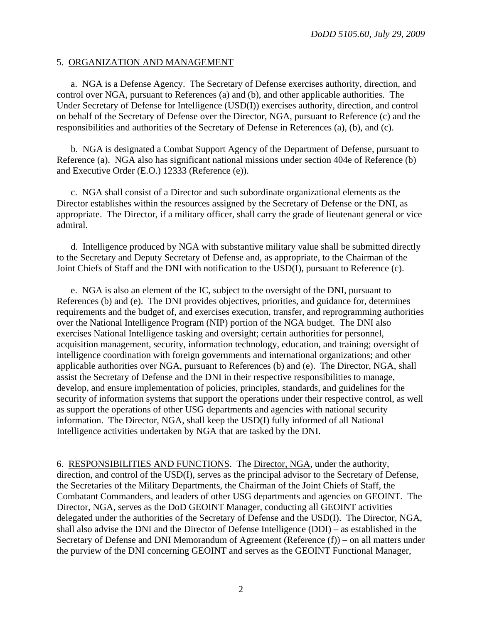#### 5. ORGANIZATION AND MANAGEMENT

 a. NGA is a Defense Agency. The Secretary of Defense exercises authority, direction, and control over NGA, pursuant to References (a) and (b), and other applicable authorities. The Under Secretary of Defense for Intelligence (USD(I)) exercises authority, direction, and control on behalf of the Secretary of Defense over the Director, NGA, pursuant to Reference (c) and the responsibilities and authorities of the Secretary of Defense in References (a), (b), and (c).

 b. NGA is designated a Combat Support Agency of the Department of Defense, pursuant to Reference (a). NGA also has significant national missions under section 404e of Reference (b) and Executive Order (E.O.) 12333 (Reference (e)).

 c. NGA shall consist of a Director and such subordinate organizational elements as the Director establishes within the resources assigned by the Secretary of Defense or the DNI, as appropriate. The Director, if a military officer, shall carry the grade of lieutenant general or vice admiral.

 d. Intelligence produced by NGA with substantive military value shall be submitted directly to the Secretary and Deputy Secretary of Defense and, as appropriate, to the Chairman of the Joint Chiefs of Staff and the DNI with notification to the USD(I), pursuant to Reference (c).

 e. NGA is also an element of the IC, subject to the oversight of the DNI, pursuant to References (b) and (e). The DNI provides objectives, priorities, and guidance for, determines requirements and the budget of, and exercises execution, transfer, and reprogramming authorities over the National Intelligence Program (NIP) portion of the NGA budget. The DNI also exercises National Intelligence tasking and oversight; certain authorities for personnel, acquisition management, security, information technology, education, and training; oversight of intelligence coordination with foreign governments and international organizations; and other applicable authorities over NGA, pursuant to References (b) and (e). The Director, NGA, shall assist the Secretary of Defense and the DNI in their respective responsibilities to manage, develop, and ensure implementation of policies, principles, standards, and guidelines for the security of information systems that support the operations under their respective control, as well as support the operations of other USG departments and agencies with national security information. The Director, NGA, shall keep the USD(I) fully informed of all National Intelligence activities undertaken by NGA that are tasked by the DNI.

6. RESPONSIBILITIES AND FUNCTIONS. The Director, NGA, under the authority, direction, and control of the USD(I), serves as the principal advisor to the Secretary of Defense, the Secretaries of the Military Departments, the Chairman of the Joint Chiefs of Staff, the Combatant Commanders, and leaders of other USG departments and agencies on GEOINT. The Director, NGA, serves as the DoD GEOINT Manager, conducting all GEOINT activities delegated under the authorities of the Secretary of Defense and the USD(I). The Director, NGA, shall also advise the DNI and the Director of Defense Intelligence (DDI) – as established in the Secretary of Defense and DNI Memorandum of Agreement (Reference (f)) – on all matters under the purview of the DNI concerning GEOINT and serves as the GEOINT Functional Manager,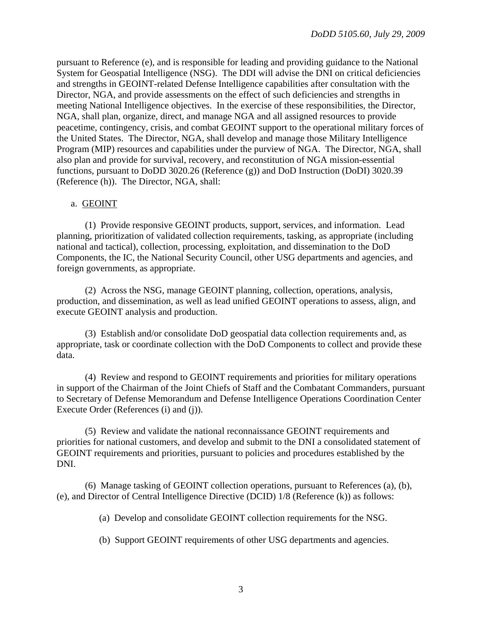pursuant to Reference (e), and is responsible for leading and providing guidance to the National System for Geospatial Intelligence (NSG). The DDI will advise the DNI on critical deficiencies and strengths in GEOINT-related Defense Intelligence capabilities after consultation with the Director, NGA, and provide assessments on the effect of such deficiencies and strengths in meeting National Intelligence objectives. In the exercise of these responsibilities, the Director, NGA, shall plan, organize, direct, and manage NGA and all assigned resources to provide peacetime, contingency, crisis, and combat GEOINT support to the operational military forces of the United States. The Director, NGA, shall develop and manage those Military Intelligence Program (MIP) resources and capabilities under the purview of NGA. The Director, NGA, shall also plan and provide for survival, recovery, and reconstitution of NGA mission-essential functions, pursuant to DoDD 3020.26 (Reference (g)) and DoD Instruction (DoDI) 3020.39 (Reference (h)). The Director, NGA, shall:

#### a. GEOINT

 (1) Provide responsive GEOINT products, support, services, and information. Lead planning, prioritization of validated collection requirements, tasking, as appropriate (including national and tactical), collection, processing, exploitation, and dissemination to the DoD Components, the IC, the National Security Council, other USG departments and agencies, and foreign governments, as appropriate.

 (2) Across the NSG, manage GEOINT planning, collection, operations, analysis, production, and dissemination, as well as lead unified GEOINT operations to assess, align, and execute GEOINT analysis and production.

 (3) Establish and/or consolidate DoD geospatial data collection requirements and, as appropriate, task or coordinate collection with the DoD Components to collect and provide these data.

 (4) Review and respond to GEOINT requirements and priorities for military operations in support of the Chairman of the Joint Chiefs of Staff and the Combatant Commanders, pursuant to Secretary of Defense Memorandum and Defense Intelligence Operations Coordination Center Execute Order (References (i) and (j)).

 (5) Review and validate the national reconnaissance GEOINT requirements and priorities for national customers, and develop and submit to the DNI a consolidated statement of GEOINT requirements and priorities, pursuant to policies and procedures established by the DNI.

 (6) Manage tasking of GEOINT collection operations, pursuant to References (a), (b), (e), and Director of Central Intelligence Directive (DCID) 1/8 (Reference (k)) as follows:

(a) Develop and consolidate GEOINT collection requirements for the NSG.

(b) Support GEOINT requirements of other USG departments and agencies.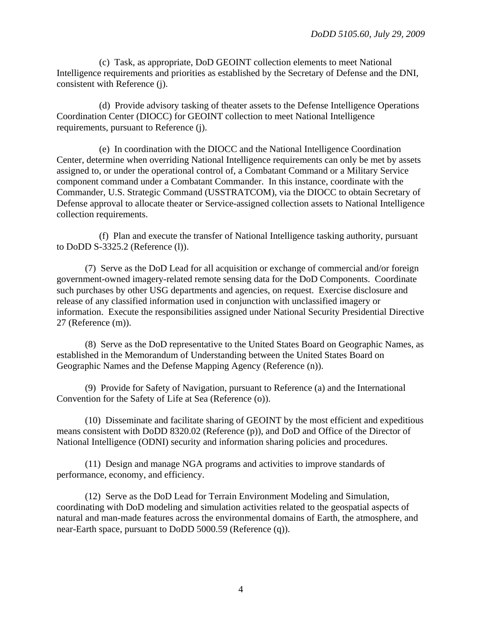(c) Task, as appropriate, DoD GEOINT collection elements to meet National Intelligence requirements and priorities as established by the Secretary of Defense and the DNI, consistent with Reference (j).

 (d) Provide advisory tasking of theater assets to the Defense Intelligence Operations Coordination Center (DIOCC) for GEOINT collection to meet National Intelligence requirements, pursuant to Reference (j).

 (e) In coordination with the DIOCC and the National Intelligence Coordination Center, determine when overriding National Intelligence requirements can only be met by assets assigned to, or under the operational control of, a Combatant Command or a Military Service component command under a Combatant Commander. In this instance, coordinate with the Commander, U.S. Strategic Command (USSTRATCOM), via the DIOCC to obtain Secretary of Defense approval to allocate theater or Service-assigned collection assets to National Intelligence collection requirements.

 (f) Plan and execute the transfer of National Intelligence tasking authority, pursuant to DoDD S-3325.2 (Reference (l)).

 (7) Serve as the DoD Lead for all acquisition or exchange of commercial and/or foreign government-owned imagery-related remote sensing data for the DoD Components. Coordinate such purchases by other USG departments and agencies, on request. Exercise disclosure and release of any classified information used in conjunction with unclassified imagery or information. Execute the responsibilities assigned under National Security Presidential Directive 27 (Reference (m)).

 (8) Serve as the DoD representative to the United States Board on Geographic Names, as established in the Memorandum of Understanding between the United States Board on Geographic Names and the Defense Mapping Agency (Reference (n)).

 (9) Provide for Safety of Navigation, pursuant to Reference (a) and the International Convention for the Safety of Life at Sea (Reference (o)).

 (10) Disseminate and facilitate sharing of GEOINT by the most efficient and expeditious means consistent with DoDD 8320.02 (Reference (p)), and DoD and Office of the Director of National Intelligence (ODNI) security and information sharing policies and procedures.

 (11) Design and manage NGA programs and activities to improve standards of performance, economy, and efficiency.

 (12) Serve as the DoD Lead for Terrain Environment Modeling and Simulation, coordinating with DoD modeling and simulation activities related to the geospatial aspects of natural and man-made features across the environmental domains of Earth, the atmosphere, and near-Earth space, pursuant to DoDD 5000.59 (Reference (q)).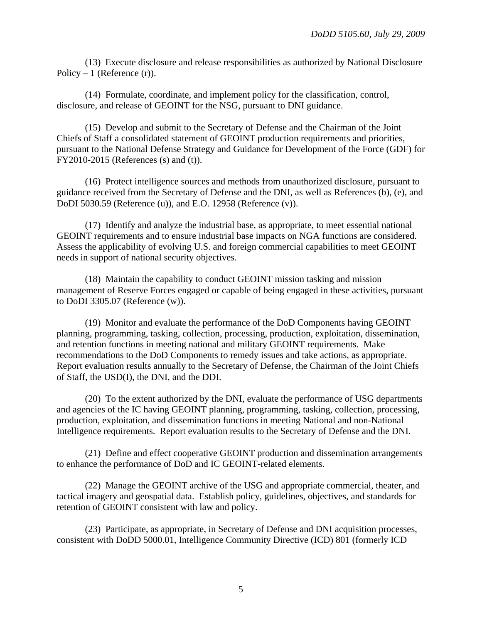(13) Execute disclosure and release responsibilities as authorized by National Disclosure Policy – 1 (Reference  $(r)$ ).

 (14) Formulate, coordinate, and implement policy for the classification, control, disclosure, and release of GEOINT for the NSG, pursuant to DNI guidance.

 (15) Develop and submit to the Secretary of Defense and the Chairman of the Joint Chiefs of Staff a consolidated statement of GEOINT production requirements and priorities, pursuant to the National Defense Strategy and Guidance for Development of the Force (GDF) for FY2010-2015 (References (s) and (t)).

 (16) Protect intelligence sources and methods from unauthorized disclosure, pursuant to guidance received from the Secretary of Defense and the DNI, as well as References (b), (e), and DoDI 5030.59 (Reference (u)), and E.O. 12958 (Reference (v)).

 (17) Identify and analyze the industrial base, as appropriate, to meet essential national GEOINT requirements and to ensure industrial base impacts on NGA functions are considered. Assess the applicability of evolving U.S. and foreign commercial capabilities to meet GEOINT needs in support of national security objectives.

 (18) Maintain the capability to conduct GEOINT mission tasking and mission management of Reserve Forces engaged or capable of being engaged in these activities, pursuant to DoDI 3305.07 (Reference (w)).

 (19) Monitor and evaluate the performance of the DoD Components having GEOINT planning, programming, tasking, collection, processing, production, exploitation, dissemination, and retention functions in meeting national and military GEOINT requirements. Make recommendations to the DoD Components to remedy issues and take actions, as appropriate. Report evaluation results annually to the Secretary of Defense, the Chairman of the Joint Chiefs of Staff, the USD(I), the DNI, and the DDI.

 (20) To the extent authorized by the DNI, evaluate the performance of USG departments and agencies of the IC having GEOINT planning, programming, tasking, collection, processing, production, exploitation, and dissemination functions in meeting National and non-National Intelligence requirements. Report evaluation results to the Secretary of Defense and the DNI.

 (21) Define and effect cooperative GEOINT production and dissemination arrangements to enhance the performance of DoD and IC GEOINT-related elements.

 (22) Manage the GEOINT archive of the USG and appropriate commercial, theater, and tactical imagery and geospatial data. Establish policy, guidelines, objectives, and standards for retention of GEOINT consistent with law and policy.

 (23) Participate, as appropriate, in Secretary of Defense and DNI acquisition processes, consistent with DoDD 5000.01, Intelligence Community Directive (ICD) 801 (formerly ICD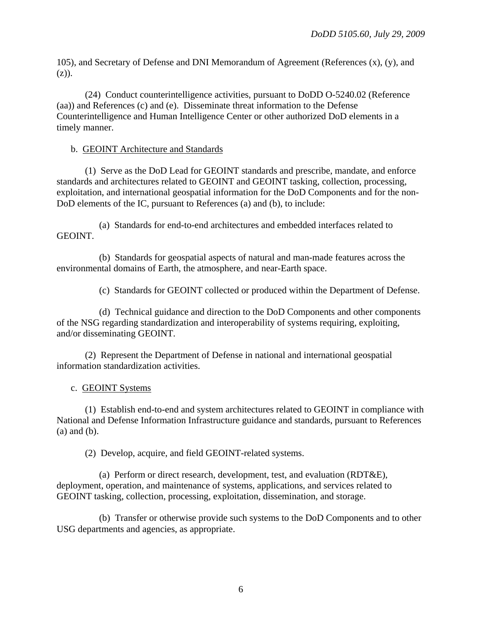105), and Secretary of Defense and DNI Memorandum of Agreement (References (x), (y), and (z)).

 (24) Conduct counterintelligence activities, pursuant to DoDD O-5240.02 (Reference (aa)) and References (c) and (e). Disseminate threat information to the Defense Counterintelligence and Human Intelligence Center or other authorized DoD elements in a timely manner.

# b. GEOINT Architecture and Standards

 (1) Serve as the DoD Lead for GEOINT standards and prescribe, mandate, and enforce standards and architectures related to GEOINT and GEOINT tasking, collection, processing, exploitation, and international geospatial information for the DoD Components and for the non-DoD elements of the IC, pursuant to References (a) and (b), to include:

 (a) Standards for end-to-end architectures and embedded interfaces related to GEOINT.

 (b) Standards for geospatial aspects of natural and man-made features across the environmental domains of Earth, the atmosphere, and near-Earth space.

(c) Standards for GEOINT collected or produced within the Department of Defense.

 (d) Technical guidance and direction to the DoD Components and other components of the NSG regarding standardization and interoperability of systems requiring, exploiting, and/or disseminating GEOINT.

 (2) Represent the Department of Defense in national and international geospatial information standardization activities.

c. GEOINT Systems

 (1) Establish end-to-end and system architectures related to GEOINT in compliance with National and Defense Information Infrastructure guidance and standards, pursuant to References (a) and (b).

(2) Develop, acquire, and field GEOINT-related systems.

 (a) Perform or direct research, development, test, and evaluation (RDT&E), deployment, operation, and maintenance of systems, applications, and services related to GEOINT tasking, collection, processing, exploitation, dissemination, and storage.

(b) Transfer or otherwise provide such systems to the DoD Components and to other USG departments and agencies, as appropriate.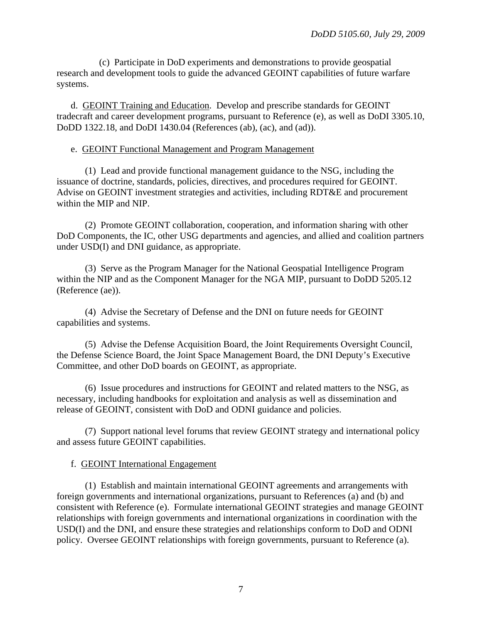(c) Participate in DoD experiments and demonstrations to provide geospatial research and development tools to guide the advanced GEOINT capabilities of future warfare systems.

 d. GEOINT Training and Education. Develop and prescribe standards for GEOINT tradecraft and career development programs, pursuant to Reference (e), as well as DoDI 3305.10, DoDD 1322.18, and DoDI 1430.04 (References (ab), (ac), and (ad)).

### e. GEOINT Functional Management and Program Management

 (1) Lead and provide functional management guidance to the NSG, including the issuance of doctrine, standards, policies, directives, and procedures required for GEOINT. Advise on GEOINT investment strategies and activities, including RDT&E and procurement within the MIP and NIP.

 (2) Promote GEOINT collaboration, cooperation, and information sharing with other DoD Components, the IC, other USG departments and agencies, and allied and coalition partners under USD(I) and DNI guidance, as appropriate.

 (3) Serve as the Program Manager for the National Geospatial Intelligence Program within the NIP and as the Component Manager for the NGA MIP, pursuant to DoDD 5205.12 (Reference (ae)).

 (4) Advise the Secretary of Defense and the DNI on future needs for GEOINT capabilities and systems.

 (5) Advise the Defense Acquisition Board, the Joint Requirements Oversight Council, the Defense Science Board, the Joint Space Management Board, the DNI Deputy's Executive Committee, and other DoD boards on GEOINT, as appropriate.

 (6) Issue procedures and instructions for GEOINT and related matters to the NSG, as necessary, including handbooks for exploitation and analysis as well as dissemination and release of GEOINT, consistent with DoD and ODNI guidance and policies.

 (7) Support national level forums that review GEOINT strategy and international policy and assess future GEOINT capabilities.

# f. GEOINT International Engagement

 (1) Establish and maintain international GEOINT agreements and arrangements with foreign governments and international organizations, pursuant to References (a) and (b) and consistent with Reference (e). Formulate international GEOINT strategies and manage GEOINT relationships with foreign governments and international organizations in coordination with the USD(I) and the DNI, and ensure these strategies and relationships conform to DoD and ODNI policy. Oversee GEOINT relationships with foreign governments, pursuant to Reference (a).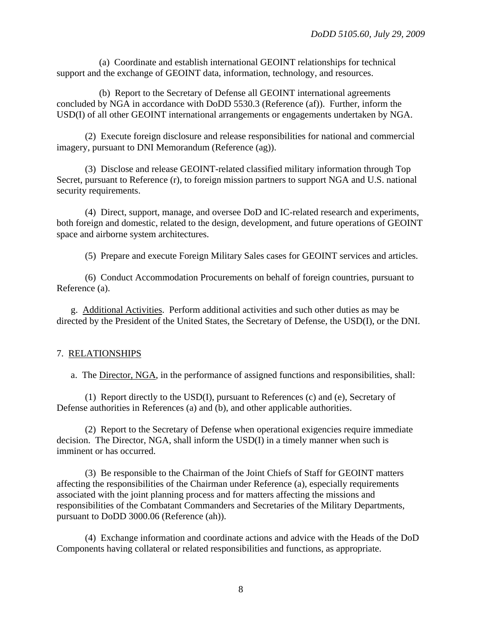(a) Coordinate and establish international GEOINT relationships for technical support and the exchange of GEOINT data, information, technology, and resources.

 (b) Report to the Secretary of Defense all GEOINT international agreements concluded by NGA in accordance with DoDD 5530.3 (Reference (af)). Further, inform the USD(I) of all other GEOINT international arrangements or engagements undertaken by NGA.

 (2) Execute foreign disclosure and release responsibilities for national and commercial imagery, pursuant to DNI Memorandum (Reference (ag)).

 (3) Disclose and release GEOINT-related classified military information through Top Secret, pursuant to Reference (r), to foreign mission partners to support NGA and U.S. national security requirements.

 (4) Direct, support, manage, and oversee DoD and IC-related research and experiments, both foreign and domestic, related to the design, development, and future operations of GEOINT space and airborne system architectures.

(5) Prepare and execute Foreign Military Sales cases for GEOINT services and articles.

 (6) Conduct Accommodation Procurements on behalf of foreign countries, pursuant to Reference (a).

 g. Additional Activities. Perform additional activities and such other duties as may be directed by the President of the United States, the Secretary of Defense, the USD(I), or the DNI.

# 7. RELATIONSHIPS

a. The Director, NGA, in the performance of assigned functions and responsibilities, shall:

 (1) Report directly to the USD(I), pursuant to References (c) and (e), Secretary of Defense authorities in References (a) and (b), and other applicable authorities.

 (2) Report to the Secretary of Defense when operational exigencies require immediate decision. The Director, NGA, shall inform the USD(I) in a timely manner when such is imminent or has occurred.

 (3) Be responsible to the Chairman of the Joint Chiefs of Staff for GEOINT matters affecting the responsibilities of the Chairman under Reference (a), especially requirements associated with the joint planning process and for matters affecting the missions and responsibilities of the Combatant Commanders and Secretaries of the Military Departments, pursuant to DoDD 3000.06 (Reference (ah)).

 (4) Exchange information and coordinate actions and advice with the Heads of the DoD Components having collateral or related responsibilities and functions, as appropriate.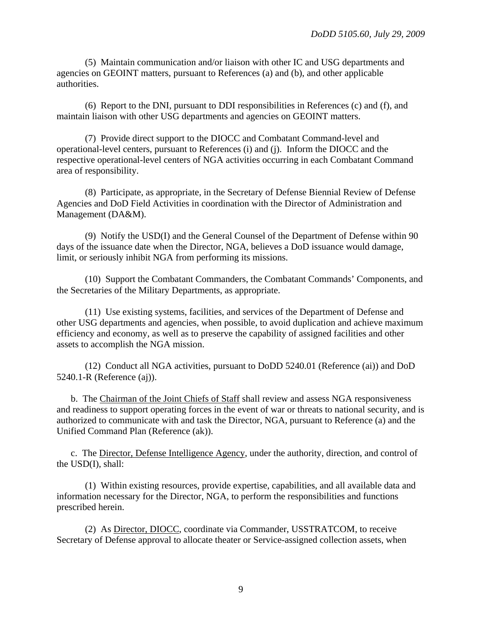(5) Maintain communication and/or liaison with other IC and USG departments and agencies on GEOINT matters, pursuant to References (a) and (b), and other applicable authorities.

 (6) Report to the DNI, pursuant to DDI responsibilities in References (c) and (f), and maintain liaison with other USG departments and agencies on GEOINT matters.

 (7) Provide direct support to the DIOCC and Combatant Command-level and operational-level centers, pursuant to References (i) and (j). Inform the DIOCC and the respective operational-level centers of NGA activities occurring in each Combatant Command area of responsibility.

 (8) Participate, as appropriate, in the Secretary of Defense Biennial Review of Defense Agencies and DoD Field Activities in coordination with the Director of Administration and Management (DA&M).

 (9) Notify the USD(I) and the General Counsel of the Department of Defense within 90 days of the issuance date when the Director, NGA, believes a DoD issuance would damage, limit, or seriously inhibit NGA from performing its missions.

 (10) Support the Combatant Commanders, the Combatant Commands' Components, and the Secretaries of the Military Departments, as appropriate.

 (11) Use existing systems, facilities, and services of the Department of Defense and other USG departments and agencies, when possible, to avoid duplication and achieve maximum efficiency and economy, as well as to preserve the capability of assigned facilities and other assets to accomplish the NGA mission.

 (12) Conduct all NGA activities, pursuant to DoDD 5240.01 (Reference (ai)) and DoD 5240.1-R (Reference (aj)).

 b. The Chairman of the Joint Chiefs of Staff shall review and assess NGA responsiveness and readiness to support operating forces in the event of war or threats to national security, and is authorized to communicate with and task the Director, NGA, pursuant to Reference (a) and the Unified Command Plan (Reference (ak)).

 c. The Director, Defense Intelligence Agency, under the authority, direction, and control of the USD(I), shall:

 (1) Within existing resources, provide expertise, capabilities, and all available data and information necessary for the Director, NGA, to perform the responsibilities and functions prescribed herein.

 (2) As Director, DIOCC, coordinate via Commander, USSTRATCOM, to receive Secretary of Defense approval to allocate theater or Service-assigned collection assets, when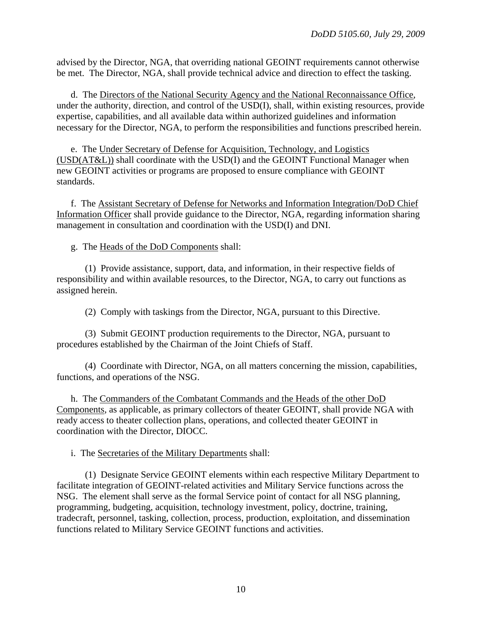advised by the Director, NGA, that overriding national GEOINT requirements cannot otherwise be met. The Director, NGA, shall provide technical advice and direction to effect the tasking.

 d. The Directors of the National Security Agency and the National Reconnaissance Office, under the authority, direction, and control of the USD(I), shall, within existing resources, provide expertise, capabilities, and all available data within authorized guidelines and information necessary for the Director, NGA, to perform the responsibilities and functions prescribed herein.

 e. The Under Secretary of Defense for Acquisition, Technology, and Logistics (USD(AT&L)) shall coordinate with the USD(I) and the GEOINT Functional Manager when new GEOINT activities or programs are proposed to ensure compliance with GEOINT standards.

 f. The Assistant Secretary of Defense for Networks and Information Integration/DoD Chief Information Officer shall provide guidance to the Director, NGA, regarding information sharing management in consultation and coordination with the USD(I) and DNI.

g. The Heads of the DoD Components shall:

 (1) Provide assistance, support, data, and information, in their respective fields of responsibility and within available resources, to the Director, NGA, to carry out functions as assigned herein.

(2) Comply with taskings from the Director, NGA, pursuant to this Directive.

 (3) Submit GEOINT production requirements to the Director, NGA, pursuant to procedures established by the Chairman of the Joint Chiefs of Staff.

 (4) Coordinate with Director, NGA, on all matters concerning the mission, capabilities, functions, and operations of the NSG.

 h. The Commanders of the Combatant Commands and the Heads of the other DoD Components, as applicable, as primary collectors of theater GEOINT, shall provide NGA with ready access to theater collection plans, operations, and collected theater GEOINT in coordination with the Director, DIOCC.

i. The Secretaries of the Military Departments shall:

 (1) Designate Service GEOINT elements within each respective Military Department to facilitate integration of GEOINT-related activities and Military Service functions across the NSG. The element shall serve as the formal Service point of contact for all NSG planning, programming, budgeting, acquisition, technology investment, policy, doctrine, training, tradecraft, personnel, tasking, collection, process, production, exploitation, and dissemination functions related to Military Service GEOINT functions and activities.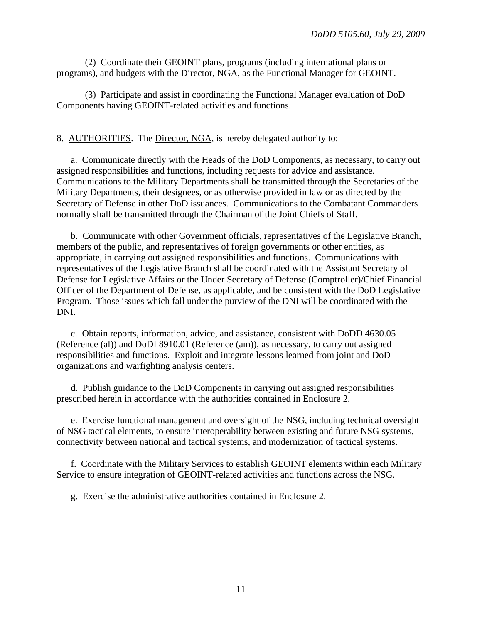(2) Coordinate their GEOINT plans, programs (including international plans or programs), and budgets with the Director, NGA, as the Functional Manager for GEOINT.

 (3) Participate and assist in coordinating the Functional Manager evaluation of DoD Components having GEOINT-related activities and functions.

## 8. AUTHORITIES. The Director, NGA, is hereby delegated authority to:

 a. Communicate directly with the Heads of the DoD Components, as necessary, to carry out assigned responsibilities and functions, including requests for advice and assistance. Communications to the Military Departments shall be transmitted through the Secretaries of the Military Departments, their designees, or as otherwise provided in law or as directed by the Secretary of Defense in other DoD issuances. Communications to the Combatant Commanders normally shall be transmitted through the Chairman of the Joint Chiefs of Staff.

 b. Communicate with other Government officials, representatives of the Legislative Branch, members of the public, and representatives of foreign governments or other entities, as appropriate, in carrying out assigned responsibilities and functions. Communications with representatives of the Legislative Branch shall be coordinated with the Assistant Secretary of Defense for Legislative Affairs or the Under Secretary of Defense (Comptroller)/Chief Financial Officer of the Department of Defense, as applicable, and be consistent with the DoD Legislative Program. Those issues which fall under the purview of the DNI will be coordinated with the DNI.

 c. Obtain reports, information, advice, and assistance, consistent with DoDD 4630.05 (Reference (al)) and DoDI 8910.01 (Reference (am)), as necessary, to carry out assigned responsibilities and functions. Exploit and integrate lessons learned from joint and DoD organizations and warfighting analysis centers.

 d. Publish guidance to the DoD Components in carrying out assigned responsibilities prescribed herein in accordance with the authorities contained in Enclosure 2.

 e. Exercise functional management and oversight of the NSG, including technical oversight of NSG tactical elements, to ensure interoperability between existing and future NSG systems, connectivity between national and tactical systems, and modernization of tactical systems.

 f. Coordinate with the Military Services to establish GEOINT elements within each Military Service to ensure integration of GEOINT-related activities and functions across the NSG.

g. Exercise the administrative authorities contained in Enclosure 2.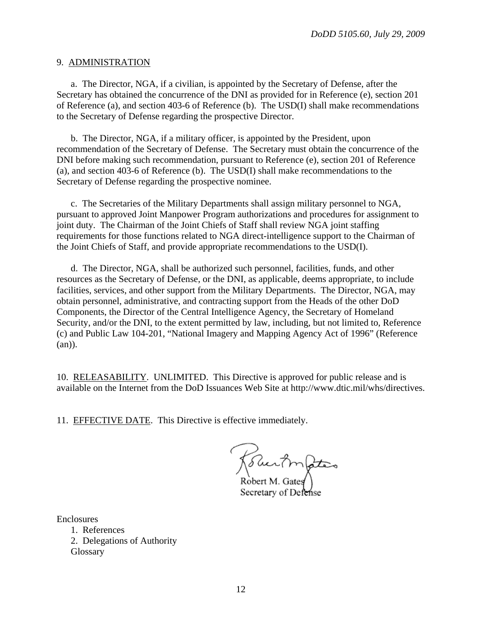#### 9. ADMINISTRATION

 a. The Director, NGA, if a civilian, is appointed by the Secretary of Defense, after the Secretary has obtained the concurrence of the DNI as provided for in Reference (e), section 201 of Reference (a), and section 403-6 of Reference (b). The USD(I) shall make recommendations to the Secretary of Defense regarding the prospective Director.

 b. The Director, NGA, if a military officer, is appointed by the President, upon recommendation of the Secretary of Defense. The Secretary must obtain the concurrence of the DNI before making such recommendation, pursuant to Reference (e), section 201 of Reference (a), and section 403-6 of Reference (b). The USD(I) shall make recommendations to the Secretary of Defense regarding the prospective nominee.

 c. The Secretaries of the Military Departments shall assign military personnel to NGA, pursuant to approved Joint Manpower Program authorizations and procedures for assignment to joint duty. The Chairman of the Joint Chiefs of Staff shall review NGA joint staffing requirements for those functions related to NGA direct-intelligence support to the Chairman of the Joint Chiefs of Staff, and provide appropriate recommendations to the USD(I).

 d. The Director, NGA, shall be authorized such personnel, facilities, funds, and other resources as the Secretary of Defense, or the DNI, as applicable, deems appropriate, to include facilities, services, and other support from the Military Departments. The Director, NGA, may obtain personnel, administrative, and contracting support from the Heads of the other DoD Components, the Director of the Central Intelligence Agency, the Secretary of Homeland Security, and/or the DNI, to the extent permitted by law, including, but not limited to, Reference (c) and Public Law 104-201, "National Imagery and Mapping Agency Act of 1996" (Reference (an)).

10. RELEASABILITY. UNLIMITED. This Directive is approved for public release and is available on the Internet from the DoD Issuances Web Site at http://www.dtic.mil/whs/directives.

11. EFFECTIVE DATE. This Directive is effective immediately.

\<br>Robert M. Gates

Secretary of Defense

Enclosures

 1. References 2. Delegations of Authority **Glossary**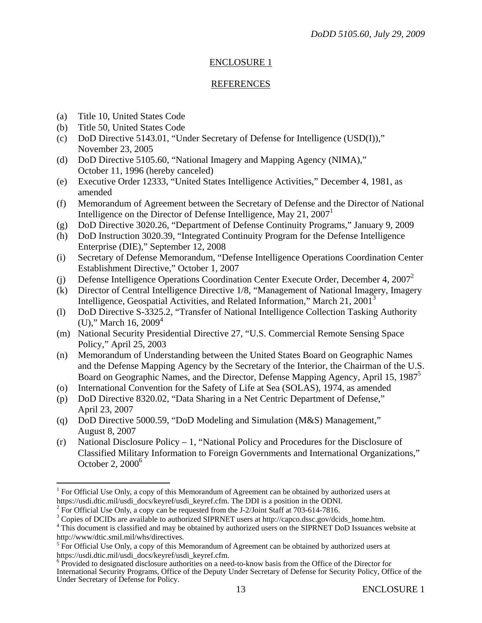# ENCLOSURE 1

#### REFERENCES

- (a) Title 10, United States Code
- (b) Title 50, United States Code

 $\overline{a}$ 

- (c) DoD Directive 5143.01, "Under Secretary of Defense for Intelligence (USD(I))," November 23, 2005
- (d) DoD Directive 5105.60, "National Imagery and Mapping Agency (NIMA)," October 11, 1996 (hereby canceled)
- (e) Executive Order 12333, "United States Intelligence Activities," December 4, 1981, as amended
- (f) Memorandum of Agreement between the Secretary of Defense and the Director of National Intelligence on the Director of Defense Intelligence, May  $21, 2007<sup>1</sup>$
- (g) DoD Directive 3020.26, "Department of Defense Continuity Programs," January 9, 2009
- (h) DoD Instruction 3020.39, "Integrated Continuity Program for the Defense Intelligence Enterprise (DIE)," September 12, 2008
- (i) Secretary of Defense Memorandum, "Defense Intelligence Operations Coordination Center Establishment Directive," October 1, 2007
- (j) Defense Intelligence Operations Coordination Center Execute Order, December 4, 20072
- (k) Director of Central Intelligence Directive 1/8, "Management of National Imagery, Imagery Intelligence, Geospatial Activities, and Related Information," March 21, 2001<sup>3</sup>
- (l) DoD Directive S-3325.2, "Transfer of National Intelligence Collection Tasking Authority (U)," March 16,  $2009<sup>4</sup>$
- (m) National Security Presidential Directive 27, "U.S. Commercial Remote Sensing Space Policy," April 25, 2003
- (n) Memorandum of Understanding between the United States Board on Geographic Names and the Defense Mapping Agency by the Secretary of the Interior, the Chairman of the U.S. Board on Geographic Names, and the Director, Defense Mapping Agency, April 15, 1987<sup>5</sup>
- (o) International Convention for the Safety of Life at Sea (SOLAS), 1974, as amended
- (p) DoD Directive 8320.02, "Data Sharing in a Net Centric Department of Defense," April 23, 2007
- (q) DoD Directive 5000.59, "DoD Modeling and Simulation (M&S) Management," August 8, 2007
- (r) National Disclosure Policy 1, "National Policy and Procedures for the Disclosure of Classified Military Information to Foreign Governments and International Organizations," October 2,  $2000<sup>6</sup>$

 $1$  For Official Use Only, a copy of this Memorandum of Agreement can be obtained by authorized users at https://usdi.dtic.mil/usdi\_docs/keyref/usdi\_keyref.cfm. The DDI is a position in the ODNI. 2

 $<sup>2</sup>$  For Official Use Only, a copy can be requested from the J-2/Joint Staff at 703-614-7816.</sup>

 $3^3$  Copies of DCIDs are available to authorized SIPRNET users at http://capco.dssc.gov/dcids\_home.htm.  $4^4$ This document is also if and may be obtained by suthorized users on the SIPPNET DoD Issuemes users

<sup>&</sup>lt;sup>4</sup> This document is classified and may be obtained by authorized users on the SIPRNET DoD Issuances website at http://www/dtic.smil.mil/whs/directives. 5

 $5$  For Official Use Only, a copy of this Memorandum of Agreement can be obtained by authorized users at https://usdi.dtic.mil/usdi\_docs/keyref/usdi\_keyref.cfm.

<sup>&</sup>lt;sup>6</sup> Provided to designated disclosure authorities on a need-to-know basis from the Office of the Director for International Security Programs, Office of the Deputy Under Secretary of Defense for Security Policy, Office of the Under Secretary of Defense for Policy.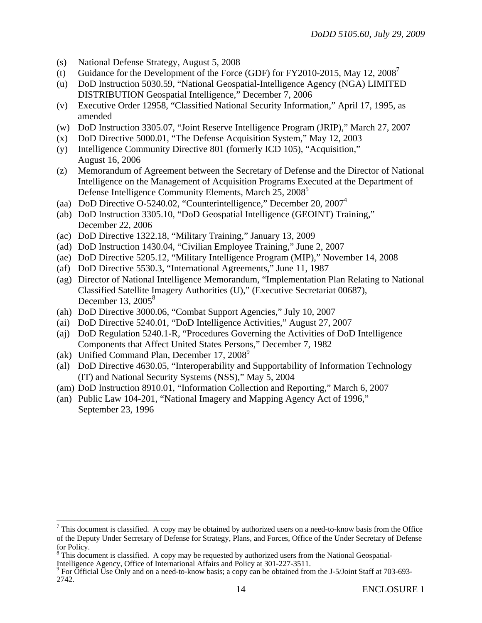- (s) National Defense Strategy, August 5, 2008
- (t) Guidance for the Development of the Force (GDF) for FY2010-2015, May 12,  $2008<sup>7</sup>$
- (u) DoD Instruction 5030.59, "National Geospatial-Intelligence Agency (NGA) LIMITED DISTRIBUTION Geospatial Intelligence," December 7, 2006
- (v) Executive Order 12958, "Classified National Security Information," April 17, 1995, as amended
- (w) DoD Instruction 3305.07, "Joint Reserve Intelligence Program (JRIP)," March 27, 2007
- (x) DoD Directive 5000.01, "The Defense Acquisition System," May 12, 2003
- (y) Intelligence Community Directive 801 (formerly ICD 105), "Acquisition," August 16, 2006
- (z) Memorandum of Agreement between the Secretary of Defense and the Director of National Intelligence on the Management of Acquisition Programs Executed at the Department of Defense Intelligence Community Elements, March 25, 2008<sup>5</sup>
- (aa) DoD Directive O-5240.02, "Counterintelligence," December 20, 20074
- (ab) DoD Instruction 3305.10, "DoD Geospatial Intelligence (GEOINT) Training," December 22, 2006
- (ac) DoD Directive 1322.18, "Military Training," January 13, 2009
- (ad) DoD Instruction 1430.04, "Civilian Employee Training," June 2, 2007
- (ae) DoD Directive 5205.12, "Military Intelligence Program (MIP)," November 14, 2008
- (af) DoD Directive 5530.3, "International Agreements," June 11, 1987
- (ag) Director of National Intelligence Memorandum, "Implementation Plan Relating to National Classified Satellite Imagery Authorities (U)," (Executive Secretariat 00687), December 13,  $2005^8$
- (ah) DoD Directive 3000.06, "Combat Support Agencies," July 10, 2007
- (ai) DoD Directive 5240.01, "DoD Intelligence Activities," August 27, 2007
- (aj) DoD Regulation 5240.1-R, "Procedures Governing the Activities of DoD Intelligence Components that Affect United States Persons," December 7, 1982
- (ak) Unified Command Plan, December 17, 2008<sup>9</sup>

 $\overline{a}$ 

- (al) DoD Directive 4630.05, "Interoperability and Supportability of Information Technology (IT) and National Security Systems (NSS)," May 5, 2004
- (am) DoD Instruction 8910.01, "Information Collection and Reporting," March 6, 2007
- (an) Public Law 104-201, "National Imagery and Mapping Agency Act of 1996," September 23, 1996

 $<sup>7</sup>$  This document is classified. A copy may be obtained by authorized users on a need-to-know basis from the Office</sup> of the Deputy Under Secretary of Defense for Strategy, Plans, and Forces, Office of the Under Secretary of Defense for Policy.

 $8$  This document is classified. A copy may be requested by authorized users from the National Geospatial-

Intelligence Agency, Office of International Affairs and Policy at 301-227-3511. 9 For Official Use Only and on a need-to-know basis; a copy can be obtained from the J-5/Joint Staff at 703-693- 2742.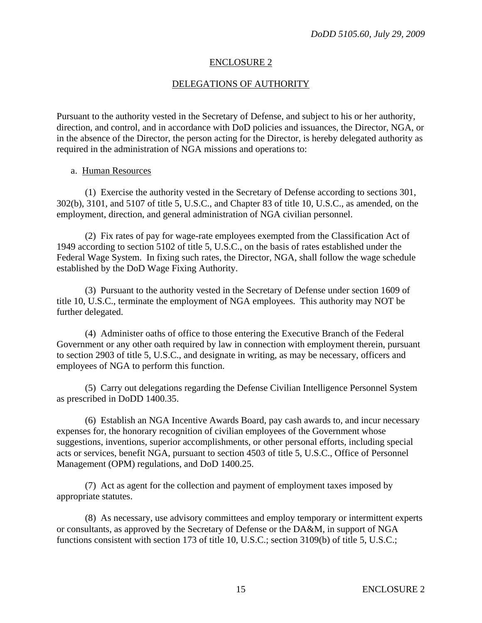### ENCLOSURE 2

## DELEGATIONS OF AUTHORITY

Pursuant to the authority vested in the Secretary of Defense, and subject to his or her authority, direction, and control, and in accordance with DoD policies and issuances, the Director, NGA, or in the absence of the Director, the person acting for the Director, is hereby delegated authority as required in the administration of NGA missions and operations to:

#### a. Human Resources

 (1) Exercise the authority vested in the Secretary of Defense according to sections 301, 302(b), 3101, and 5107 of title 5, U.S.C., and Chapter 83 of title 10, U.S.C., as amended, on the employment, direction, and general administration of NGA civilian personnel.

 (2) Fix rates of pay for wage-rate employees exempted from the Classification Act of 1949 according to section 5102 of title 5, U.S.C., on the basis of rates established under the Federal Wage System. In fixing such rates, the Director, NGA, shall follow the wage schedule established by the DoD Wage Fixing Authority.

 (3) Pursuant to the authority vested in the Secretary of Defense under section 1609 of title 10, U.S.C., terminate the employment of NGA employees. This authority may NOT be further delegated.

 (4) Administer oaths of office to those entering the Executive Branch of the Federal Government or any other oath required by law in connection with employment therein, pursuant to section 2903 of title 5, U.S.C., and designate in writing, as may be necessary, officers and employees of NGA to perform this function.

 (5) Carry out delegations regarding the Defense Civilian Intelligence Personnel System as prescribed in DoDD 1400.35.

 (6) Establish an NGA Incentive Awards Board, pay cash awards to, and incur necessary expenses for, the honorary recognition of civilian employees of the Government whose suggestions, inventions, superior accomplishments, or other personal efforts, including special acts or services, benefit NGA, pursuant to section 4503 of title 5, U.S.C., Office of Personnel Management (OPM) regulations, and DoD 1400.25.

 (7) Act as agent for the collection and payment of employment taxes imposed by appropriate statutes.

 (8) As necessary, use advisory committees and employ temporary or intermittent experts or consultants, as approved by the Secretary of Defense or the DA&M, in support of NGA functions consistent with section 173 of title 10, U.S.C.; section 3109(b) of title 5, U.S.C.;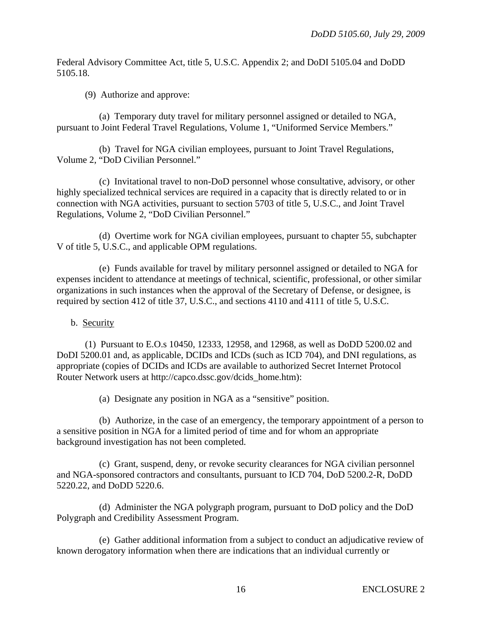Federal Advisory Committee Act, title 5, U.S.C. Appendix 2; and DoDI 5105.04 and DoDD 5105.18.

(9) Authorize and approve:

(a) Temporary duty travel for military personnel assigned or detailed to NGA, pursuant to Joint Federal Travel Regulations, Volume 1, "Uniformed Service Members."

 (b) Travel for NGA civilian employees, pursuant to Joint Travel Regulations, Volume 2, "DoD Civilian Personnel."

 (c) Invitational travel to non-DoD personnel whose consultative, advisory, or other highly specialized technical services are required in a capacity that is directly related to or in connection with NGA activities, pursuant to section 5703 of title 5, U.S.C., and Joint Travel Regulations, Volume 2, "DoD Civilian Personnel."

 (d) Overtime work for NGA civilian employees, pursuant to chapter 55, subchapter V of title 5, U.S.C., and applicable OPM regulations.

 (e) Funds available for travel by military personnel assigned or detailed to NGA for expenses incident to attendance at meetings of technical, scientific, professional, or other similar organizations in such instances when the approval of the Secretary of Defense, or designee, is required by section 412 of title 37, U.S.C., and sections 4110 and 4111 of title 5, U.S.C.

b. Security

 (1) Pursuant to E.O.s 10450, 12333, 12958, and 12968, as well as DoDD 5200.02 and DoDI 5200.01 and, as applicable, DCIDs and ICDs (such as ICD 704), and DNI regulations, as appropriate (copies of DCIDs and ICDs are available to authorized Secret Internet Protocol Router Network users at http://capco.dssc.gov/dcids\_home.htm):

(a) Designate any position in NGA as a "sensitive" position.

 (b) Authorize, in the case of an emergency, the temporary appointment of a person to a sensitive position in NGA for a limited period of time and for whom an appropriate background investigation has not been completed.

 (c) Grant, suspend, deny, or revoke security clearances for NGA civilian personnel and NGA-sponsored contractors and consultants, pursuant to ICD 704, DoD 5200.2-R, DoDD 5220.22, and DoDD 5220.6.

 (d) Administer the NGA polygraph program, pursuant to DoD policy and the DoD Polygraph and Credibility Assessment Program.

 (e) Gather additional information from a subject to conduct an adjudicative review of known derogatory information when there are indications that an individual currently or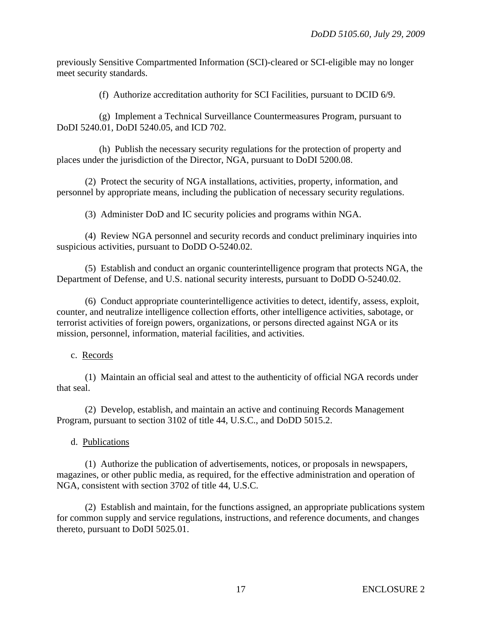previously Sensitive Compartmented Information (SCI)-cleared or SCI-eligible may no longer meet security standards.

(f) Authorize accreditation authority for SCI Facilities, pursuant to DCID 6/9.

 (g) Implement a Technical Surveillance Countermeasures Program, pursuant to DoDI 5240.01, DoDI 5240.05, and ICD 702.

 (h) Publish the necessary security regulations for the protection of property and places under the jurisdiction of the Director, NGA, pursuant to DoDI 5200.08.

(2) Protect the security of NGA installations, activities, property, information, and personnel by appropriate means, including the publication of necessary security regulations.

(3) Administer DoD and IC security policies and programs within NGA.

(4) Review NGA personnel and security records and conduct preliminary inquiries into suspicious activities, pursuant to DoDD O-5240.02.

(5) Establish and conduct an organic counterintelligence program that protects NGA, the Department of Defense, and U.S. national security interests, pursuant to DoDD O-5240.02.

(6) Conduct appropriate counterintelligence activities to detect, identify, assess, exploit, counter, and neutralize intelligence collection efforts, other intelligence activities, sabotage, or terrorist activities of foreign powers, organizations, or persons directed against NGA or its mission, personnel, information, material facilities, and activities.

# c. Records

 (1) Maintain an official seal and attest to the authenticity of official NGA records under that seal.

 (2) Develop, establish, and maintain an active and continuing Records Management Program, pursuant to section 3102 of title 44, U.S.C., and DoDD 5015.2.

# d. Publications

 (1) Authorize the publication of advertisements, notices, or proposals in newspapers, magazines, or other public media, as required, for the effective administration and operation of NGA, consistent with section 3702 of title 44, U.S.C.

 (2) Establish and maintain, for the functions assigned, an appropriate publications system for common supply and service regulations, instructions, and reference documents, and changes thereto, pursuant to DoDI 5025.01.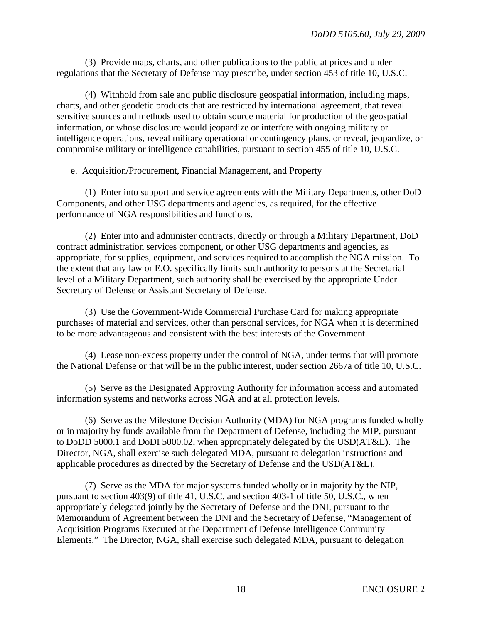(3) Provide maps, charts, and other publications to the public at prices and under regulations that the Secretary of Defense may prescribe, under section 453 of title 10, U.S.C.

 (4) Withhold from sale and public disclosure geospatial information, including maps, charts, and other geodetic products that are restricted by international agreement, that reveal sensitive sources and methods used to obtain source material for production of the geospatial information, or whose disclosure would jeopardize or interfere with ongoing military or intelligence operations, reveal military operational or contingency plans, or reveal, jeopardize, or compromise military or intelligence capabilities, pursuant to section 455 of title 10, U.S.C.

#### e. Acquisition/Procurement, Financial Management, and Property

 (1) Enter into support and service agreements with the Military Departments, other DoD Components, and other USG departments and agencies, as required, for the effective performance of NGA responsibilities and functions.

 (2) Enter into and administer contracts, directly or through a Military Department, DoD contract administration services component, or other USG departments and agencies, as appropriate, for supplies, equipment, and services required to accomplish the NGA mission. To the extent that any law or E.O. specifically limits such authority to persons at the Secretarial level of a Military Department, such authority shall be exercised by the appropriate Under Secretary of Defense or Assistant Secretary of Defense.

 (3) Use the Government-Wide Commercial Purchase Card for making appropriate purchases of material and services, other than personal services, for NGA when it is determined to be more advantageous and consistent with the best interests of the Government.

 (4) Lease non-excess property under the control of NGA, under terms that will promote the National Defense or that will be in the public interest, under section 2667a of title 10, U.S.C.

(5) Serve as the Designated Approving Authority for information access and automated information systems and networks across NGA and at all protection levels.

 (6) Serve as the Milestone Decision Authority (MDA) for NGA programs funded wholly or in majority by funds available from the Department of Defense, including the MIP, pursuant to DoDD 5000.1 and DoDI 5000.02, when appropriately delegated by the USD(AT&L). The Director, NGA, shall exercise such delegated MDA, pursuant to delegation instructions and applicable procedures as directed by the Secretary of Defense and the USD(AT&L).

(7) Serve as the MDA for major systems funded wholly or in majority by the NIP, pursuant to section 403(9) of title 41, U.S.C. and section 403-1 of title 50, U.S.C., when appropriately delegated jointly by the Secretary of Defense and the DNI, pursuant to the Memorandum of Agreement between the DNI and the Secretary of Defense, "Management of Acquisition Programs Executed at the Department of Defense Intelligence Community Elements." The Director, NGA, shall exercise such delegated MDA, pursuant to delegation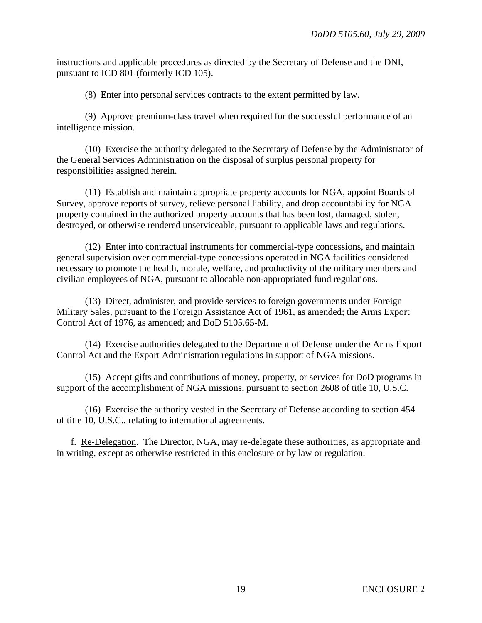instructions and applicable procedures as directed by the Secretary of Defense and the DNI, pursuant to ICD 801 (formerly ICD 105).

(8) Enter into personal services contracts to the extent permitted by law.

 (9) Approve premium-class travel when required for the successful performance of an intelligence mission.

 (10) Exercise the authority delegated to the Secretary of Defense by the Administrator of the General Services Administration on the disposal of surplus personal property for responsibilities assigned herein.

 (11) Establish and maintain appropriate property accounts for NGA, appoint Boards of Survey, approve reports of survey, relieve personal liability, and drop accountability for NGA property contained in the authorized property accounts that has been lost, damaged, stolen, destroyed, or otherwise rendered unserviceable, pursuant to applicable laws and regulations.

 (12) Enter into contractual instruments for commercial-type concessions, and maintain general supervision over commercial-type concessions operated in NGA facilities considered necessary to promote the health, morale, welfare, and productivity of the military members and civilian employees of NGA, pursuant to allocable non-appropriated fund regulations.

 (13) Direct, administer, and provide services to foreign governments under Foreign Military Sales, pursuant to the Foreign Assistance Act of 1961, as amended; the Arms Export Control Act of 1976, as amended; and DoD 5105.65-M.

(14) Exercise authorities delegated to the Department of Defense under the Arms Export Control Act and the Export Administration regulations in support of NGA missions.

 (15) Accept gifts and contributions of money, property, or services for DoD programs in support of the accomplishment of NGA missions, pursuant to section 2608 of title 10, U.S.C.

 (16) Exercise the authority vested in the Secretary of Defense according to section 454 of title 10, U.S.C., relating to international agreements.

 f. Re-Delegation. The Director, NGA, may re-delegate these authorities, as appropriate and in writing, except as otherwise restricted in this enclosure or by law or regulation.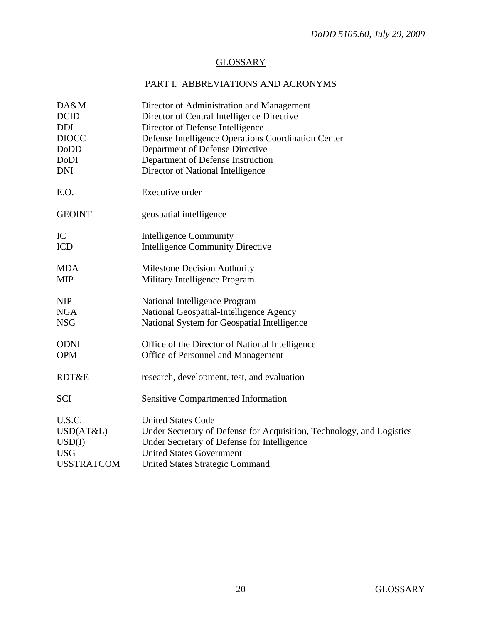# **GLOSSARY**

# PART I. ABBREVIATIONS AND ACRONYMS

| DA&M              | Director of Administration and Management                             |
|-------------------|-----------------------------------------------------------------------|
| <b>DCID</b>       | Director of Central Intelligence Directive                            |
| <b>DDI</b>        | Director of Defense Intelligence                                      |
| <b>DIOCC</b>      | Defense Intelligence Operations Coordination Center                   |
| DoDD              | Department of Defense Directive                                       |
| DoDI              | Department of Defense Instruction                                     |
| <b>DNI</b>        | Director of National Intelligence                                     |
| E.O.              | <b>Executive order</b>                                                |
| <b>GEOINT</b>     | geospatial intelligence                                               |
| IC                | <b>Intelligence Community</b>                                         |
| <b>ICD</b>        | <b>Intelligence Community Directive</b>                               |
| <b>MDA</b>        | <b>Milestone Decision Authority</b>                                   |
| <b>MIP</b>        | Military Intelligence Program                                         |
| <b>NIP</b>        | National Intelligence Program                                         |
| <b>NGA</b>        | National Geospatial-Intelligence Agency                               |
| <b>NSG</b>        | National System for Geospatial Intelligence                           |
| <b>ODNI</b>       | Office of the Director of National Intelligence                       |
| <b>OPM</b>        | Office of Personnel and Management                                    |
| RDT&E             | research, development, test, and evaluation                           |
| <b>SCI</b>        | <b>Sensitive Compartmented Information</b>                            |
| U.S.C.            | <b>United States Code</b>                                             |
| USD(AT&L)         | Under Secretary of Defense for Acquisition, Technology, and Logistics |
| USD(I)            | Under Secretary of Defense for Intelligence                           |
| <b>USG</b>        | <b>United States Government</b>                                       |
| <b>USSTRATCOM</b> | <b>United States Strategic Command</b>                                |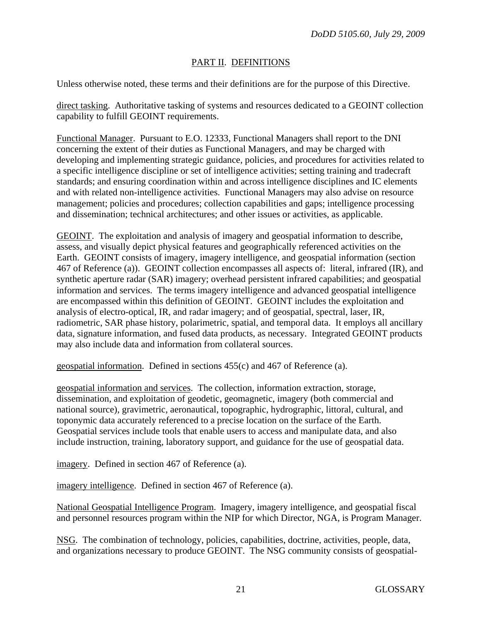# PART II. DEFINITIONS

Unless otherwise noted, these terms and their definitions are for the purpose of this Directive.

direct tasking. Authoritative tasking of systems and resources dedicated to a GEOINT collection capability to fulfill GEOINT requirements.

Functional Manager. Pursuant to E.O. 12333, Functional Managers shall report to the DNI concerning the extent of their duties as Functional Managers, and may be charged with developing and implementing strategic guidance, policies, and procedures for activities related to a specific intelligence discipline or set of intelligence activities; setting training and tradecraft standards; and ensuring coordination within and across intelligence disciplines and IC elements and with related non-intelligence activities. Functional Managers may also advise on resource management; policies and procedures; collection capabilities and gaps; intelligence processing and dissemination; technical architectures; and other issues or activities, as applicable.

GEOINT. The exploitation and analysis of imagery and geospatial information to describe, assess, and visually depict physical features and geographically referenced activities on the Earth. GEOINT consists of imagery, imagery intelligence, and geospatial information (section 467 of Reference (a)). GEOINT collection encompasses all aspects of: literal, infrared (IR), and synthetic aperture radar (SAR) imagery; overhead persistent infrared capabilities; and geospatial information and services. The terms imagery intelligence and advanced geospatial intelligence are encompassed within this definition of GEOINT. GEOINT includes the exploitation and analysis of electro-optical, IR, and radar imagery; and of geospatial, spectral, laser, IR, radiometric, SAR phase history, polarimetric, spatial, and temporal data. It employs all ancillary data, signature information, and fused data products, as necessary. Integrated GEOINT products may also include data and information from collateral sources.

geospatial information. Defined in sections 455(c) and 467 of Reference (a).

geospatial information and services. The collection, information extraction, storage, dissemination, and exploitation of geodetic, geomagnetic, imagery (both commercial and national source), gravimetric, aeronautical, topographic, hydrographic, littoral, cultural, and toponymic data accurately referenced to a precise location on the surface of the Earth. Geospatial services include tools that enable users to access and manipulate data, and also include instruction, training, laboratory support, and guidance for the use of geospatial data.

imagery. Defined in section 467 of Reference (a).

imagery intelligence. Defined in section 467 of Reference (a).

National Geospatial Intelligence Program. Imagery, imagery intelligence, and geospatial fiscal and personnel resources program within the NIP for which Director, NGA, is Program Manager.

NSG. The combination of technology, policies, capabilities, doctrine, activities, people, data, and organizations necessary to produce GEOINT. The NSG community consists of geospatial